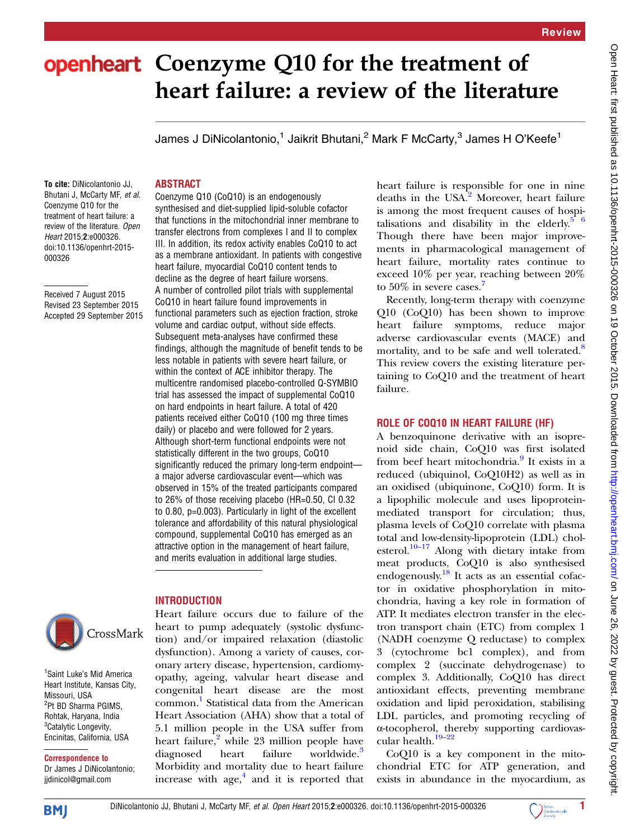# openheart Coenzyme Q10 for the treatment of heart failure: a review of the literature

James J DiNicolantonio,<sup>1</sup> Jaikrit Bhutani,<sup>2</sup> Mark F McCarty,<sup>3</sup> James H O'Keefe<sup>1</sup>

# To cite: DiNicolantonio JJ, Bhutani J, McCarty MF, et al.

Coenzyme Q10 for the treatment of heart failure: a review of the literature. Open Heart 2015;2:e000326. doi:10.1136/openhrt-2015- 000326

Received 7 August 2015 Revised 23 September 2015 Accepted 29 September 2015



<sup>1</sup> Saint Luke's Mid America Heart Institute, Kansas City, Missouri, USA <sup>2</sup>Pt BD Sharma PGIMS, Rohtak, Haryana, India <sup>3</sup>Catalytic Longevity, Encinitas, California, USA

Correspondence to Dr James J DiNicolantonio; jjdinicol@gmail.com

# ABSTRACT

Coenzyme Q10 (CoQ10) is an endogenously synthesised and diet-supplied lipid-soluble cofactor that functions in the mitochondrial inner membrane to transfer electrons from complexes I and II to complex III. In addition, its redox activity enables CoQ10 to act as a membrane antioxidant. In patients with congestive heart failure, myocardial CoQ10 content tends to decline as the degree of heart failure worsens. A number of controlled pilot trials with supplemental CoQ10 in heart failure found improvements in functional parameters such as ejection fraction, stroke volume and cardiac output, without side effects. Subsequent meta-analyses have confirmed these findings, although the magnitude of benefit tends to be less notable in patients with severe heart failure, or within the context of ACE inhibitor therapy. The multicentre randomised placebo-controlled Q-SYMBIO trial has assessed the impact of supplemental CoQ10 on hard endpoints in heart failure. A total of 420 patients received either CoQ10 (100 mg three times daily) or placebo and were followed for 2 years. Although short-term functional endpoints were not statistically different in the two groups, CoQ10 significantly reduced the primary long-term endpoint a major adverse cardiovascular event—which was observed in 15% of the treated participants compared to 26% of those receiving placebo (HR=0.50, CI 0.32 to 0.80, p=0.003). Particularly in light of the excellent tolerance and affordability of this natural physiological compound, supplemental CoQ10 has emerged as an attractive option in the management of heart failure, and merits evaluation in additional large studies.

# **INTRODUCTION**

Heart failure occurs due to failure of the heart to pump adequately (systolic dysfunction) and/or impaired relaxation (diastolic dysfunction). Among a variety of causes, coronary artery disease, hypertension, cardiomyopathy, ageing, valvular heart disease and congenital heart disease are the most common. [1](#page-3-0) Statistical data from the American Heart Association (AHA) show that a total of 5.1 million people in the USA suffer from heart failure, $\frac{2}{3}$  $\frac{2}{3}$  $\frac{2}{3}$  while 23 million people have diagnosed heart failure worldwide.<sup>[3](#page-3-0)</sup> Morbidity and mortality due to heart failure increase with  $age<sub>1</sub><sup>4</sup>$  $age<sub>1</sub><sup>4</sup>$  $age<sub>1</sub><sup>4</sup>$  and it is reported that

heart failure is responsible for one in nine deaths in the USA.<sup>[2](#page-3-0)</sup> Moreover, heart failure is among the most frequent causes of hospitalisations and disability in the elderly. $5\frac{6}{6}$ Though there have been major improvements in pharmacological management of heart failure, mortality rates continue to exceed 10% per year, reaching between 20% to 50% in severe cases.<sup>[7](#page-3-0)</sup>

Recently, long-term therapy with coenzyme Q10 (CoQ10) has been shown to improve heart failure symptoms, reduce major adverse cardiovascular events (MACE) and mortality, and to be safe and well tolerated.<sup>[8](#page-3-0)</sup> This review covers the existing literature pertaining to CoQ10 and the treatment of heart failure.

# ROLE OF COQ10 IN HEART FAILURE (HF)

A benzoquinone derivative with an isoprenoid side chain, CoQ10 was first isolated from beef heart mitochondria.<sup>[9](#page-3-0)</sup> It exists in a reduced (ubiquinol, CoQ10H2) as well as in an oxidised (ubiquinone, CoQ10) form. It is a lipophilic molecule and uses lipoproteinmediated transport for circulation; thus, plasma levels of CoQ10 correlate with plasma total and low-density-lipoprotein (LDL) cholesterol.<sup>10–17</sup> Along with dietary intake from meat products, CoQ10 is also synthesised endogenously.[18](#page-3-0) It acts as an essential cofactor in oxidative phosphorylation in mitochondria, having a key role in formation of ATP. It mediates electron transfer in the electron transport chain (ETC) from complex 1 (NADH coenzyme Q reductase) to complex 3 (cytochrome bc1 complex), and from complex 2 (succinate dehydrogenase) to complex 3. Additionally, CoQ10 has direct antioxidant effects, preventing membrane oxidation and lipid peroxidation, stabilising LDL particles, and promoting recycling of α-tocopherol, thereby supporting cardiovas-cular health.<sup>19–[22](#page-3-0)</sup>

CoQ10 is a key component in the mitochondrial ETC for ATP generation, and exists in abundance in the myocardium, as

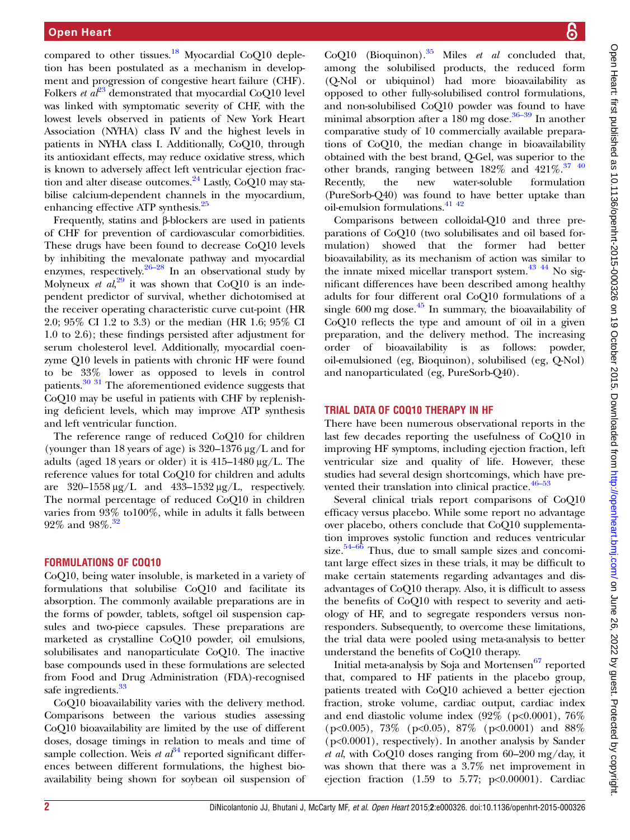compared to other tissues.<sup>[18](#page-3-0)</sup> Myocardial CoQ10 depletion has been postulated as a mechanism in development and progression of congestive heart failure (CHF). Folkers *et a*<sup>[23](#page-3-0)</sup> demonstrated that myocardial CoQ10 level was linked with symptomatic severity of CHF, with the lowest levels observed in patients of New York Heart Association (NYHA) class IV and the highest levels in patients in NYHA class I. Additionally, CoQ10, through its antioxidant effects, may reduce oxidative stress, which is known to adversely affect left ventricular ejection frac-tion and alter disease outcomes.<sup>[24](#page-3-0)</sup> Lastly,  $CoQ10$  may stabilise calcium-dependent channels in the myocardium, enhancing effective ATP synthesis.[25](#page-3-0)

Frequently, statins and β-blockers are used in patients of CHF for prevention of cardiovascular comorbidities. These drugs have been found to decrease CoQ10 levels by inhibiting the mevalonate pathway and myocardial enzymes, respectively.  $26-28$  In an observational study by Molyneux *et*  $a\lambda^{29}$  $a\lambda^{29}$  $a\lambda^{29}$  it was shown that CoQ10 is an independent predictor of survival, whether dichotomised at the receiver operating characteristic curve cut-point (HR 2.0; 95% CI 1.2 to 3.3) or the median (HR 1.6; 95% CI 1.0 to 2.6); these findings persisted after adjustment for serum cholesterol level. Additionally, myocardial coenzyme Q10 levels in patients with chronic HF were found to be 33% lower as opposed to levels in control patients. $30\,31$  The aforementioned evidence suggests that CoQ10 may be useful in patients with CHF by replenishing deficient levels, which may improve ATP synthesis and left ventricular function.

The reference range of reduced CoQ10 for children (younger than 18 years of age) is 320–1376 μg/L and for adults (aged 18 years or older) it is  $415-1480 \mu g/L$ . The reference values for total CoQ10 for children and adults are  $320-1558 \mu g/L$  and  $433-1532 \mu g/L$ , respectively. The normal percentage of reduced CoQ10 in children varies from 93% to100%, while in adults it falls between  $92\%$  and  $98\%$ .<sup>[32](#page-3-0)</sup>

#### FORMULATIONS OF COQ10

CoQ10, being water insoluble, is marketed in a variety of formulations that solubilise CoQ10 and facilitate its absorption. The commonly available preparations are in the forms of powder, tablets, softgel oil suspension capsules and two-piece capsules. These preparations are marketed as crystalline CoQ10 powder, oil emulsions, solubilisates and nanoparticulate CoQ10. The inactive base compounds used in these formulations are selected from Food and Drug Administration (FDA)-recognised safe ingredients.<sup>33</sup>

CoQ10 bioavailability varies with the delivery method. Comparisons between the various studies assessing CoQ10 bioavailability are limited by the use of different doses, dosage timings in relation to meals and time of sample collection. Weis *et*  $a\tilde{t}^4$  reported significant differences between different formulations, the highest bioavailability being shown for soybean oil suspension of CoO10 (Bioquinon).<sup>[35](#page-3-0)</sup> Miles *et al* concluded that, among the solubilised products, the reduced form (Q-Nol or ubiquinol) had more bioavailability as opposed to other fully-solubilised control formulations, and non-solubilised CoQ10 powder was found to have minimal absorption after a  $180$  mg dose.<sup>[36](#page-3-0)–39</sup> In another comparative study of 10 commercially available preparations of CoQ10, the median change in bioavailability obtained with the best brand, Q-Gel, was superior to the other brands, ranging between  $182\%$  and  $421\%$ .<sup>37</sup> <sup>40</sup> Recently, the new water-soluble formulation (PureSorb-Q40) was found to have better uptake than oil-emulsion formulations.  $41$  42

Comparisons between colloidal-Q10 and three preparations of CoQ10 (two solubilisates and oil based formulation) showed that the former had better bioavailability, as its mechanism of action was similar to the innate mixed micellar transport system.<sup>43</sup> <sup>44</sup> No significant differences have been described among healthy adults for four different oral CoQ10 formulations of a single  $600 \text{ mg dose}$ .<sup>[45](#page-3-0)</sup> In summary, the bioavailability of CoQ10 reflects the type and amount of oil in a given preparation, and the delivery method. The increasing order of bioavailability is as follows: powder, oil-emulsioned (eg, Bioquinon), solubilised (eg, Q-Nol) and nanoparticulated (eg, PureSorb-Q40).

#### TRIAL DATA OF COQ10 THERAPY IN HF

There have been numerous observational reports in the last few decades reporting the usefulness of CoQ10 in improving HF symptoms, including ejection fraction, left ventricular size and quality of life. However, these studies had several design shortcomings, which have pre-vented their translation into clinical practice.<sup>46–[53](#page-3-0)</sup>

Several clinical trials report comparisons of CoQ10 efficacy versus placebo. While some report no advantage over placebo, others conclude that CoQ10 supplementation improves systolic function and reduces ventricular size. $54-66$  $54-66$  Thus, due to small sample sizes and concomitant large effect sizes in these trials, it may be difficult to make certain statements regarding advantages and disadvantages of CoQ10 therapy. Also, it is difficult to assess the benefits of CoQ10 with respect to severity and aetiology of HF, and to segregate responders versus nonresponders. Subsequently, to overcome these limitations, the trial data were pooled using meta-analysis to better understand the benefits of CoQ10 therapy.

Initial meta-analysis by Soja and Mortensen<sup>[67](#page-4-0)</sup> reported that, compared to HF patients in the placebo group, patients treated with CoQ10 achieved a better ejection fraction, stroke volume, cardiac output, cardiac index and end diastolic volume index  $(92\% \text{ (p<0.0001)}, 76\%)$ (p<0.005), 73% (p<0.05), 87% (p<0.0001) and 88% (p<0.0001), respectively). In another analysis by Sander et al, with CoQ10 doses ranging from  $60-200$  mg/day, it was shown that there was a 3.7% net improvement in ejection fraction (1.59 to 5.77; p<0.00001). Cardiac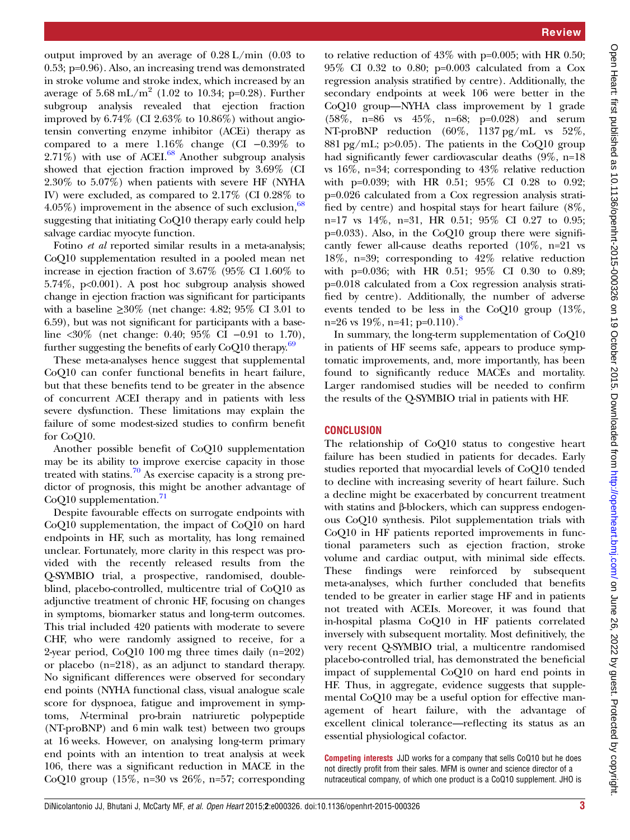output improved by an average of 0.28 L/min (0.03 to 0.53; p=0.96). Also, an increasing trend was demonstrated in stroke volume and stroke index, which increased by an average of  $5.68 \text{ mL/m}^2$  (1.02 to 10.34; p=0.28). Further subgroup analysis revealed that ejection fraction improved by 6.74% (CI 2.63% to 10.86%) without angiotensin converting enzyme inhibitor (ACEi) therapy as compared to a mere 1.16% change (CI −0.39% to  $2.71\%$ ) with use of ACEI.<sup>[68](#page-4-0)</sup> Another subgroup analysis showed that ejection fraction improved by 3.69% (CI 2.30% to 5.07%) when patients with severe HF (NYHA IV) were excluded, as compared to 2.17% (CI 0.28% to 4.05%) improvement in the absence of such exclusion,  $68$ suggesting that initiating CoQ10 therapy early could help salvage cardiac myocyte function.

Fotino et al reported similar results in a meta-analysis; CoQ10 supplementation resulted in a pooled mean net increase in ejection fraction of 3.67% (95% CI 1.60% to 5.74%, p<0.001). A post hoc subgroup analysis showed change in ejection fraction was significant for participants with a baseline  $\geq 30\%$  (net change: 4.82; 95% CI 3.01 to 6.59), but was not significant for participants with a baseline <30% (net change: 0.40; 95% CI −0.91 to 1.70), further suggesting the benefits of early  $CoQ10$  therapy.<sup>69</sup>

These meta-analyses hence suggest that supplemental CoQ10 can confer functional benefits in heart failure, but that these benefits tend to be greater in the absence of concurrent ACEI therapy and in patients with less severe dysfunction. These limitations may explain the failure of some modest-sized studies to confirm benefit for CoQ10.

Another possible benefit of CoQ10 supplementation may be its ability to improve exercise capacity in those treated with statins.<sup>[70](#page-4-0)</sup> As exercise capacity is a strong predictor of prognosis, this might be another advantage of  $CoQ10$  supplementation.<sup>[71](#page-4-0)</sup>

Despite favourable effects on surrogate endpoints with CoQ10 supplementation, the impact of CoQ10 on hard endpoints in HF, such as mortality, has long remained unclear. Fortunately, more clarity in this respect was provided with the recently released results from the Q-SYMBIO trial, a prospective, randomised, doubleblind, placebo-controlled, multicentre trial of CoQ10 as adjunctive treatment of chronic HF, focusing on changes in symptoms, biomarker status and long-term outcomes. This trial included 420 patients with moderate to severe CHF, who were randomly assigned to receive, for a 2-year period, CoQ10 100 mg three times daily (n=202) or placebo (n=218), as an adjunct to standard therapy. No significant differences were observed for secondary end points (NYHA functional class, visual analogue scale score for dyspnoea, fatigue and improvement in symptoms, N-terminal pro-brain natriuretic polypeptide (NT-proBNP) and 6 min walk test) between two groups at 16 weeks. However, on analysing long-term primary end points with an intention to treat analysis at week 106, there was a significant reduction in MACE in the CoQ10 group (15%, n=30 vs 26%, n=57; corresponding

to relative reduction of  $43\%$  with p=0.005; with HR 0.50; 95% CI 0.32 to 0.80; p=0.003 calculated from a Cox regression analysis stratified by centre). Additionally, the secondary endpoints at week 106 were better in the CoQ10 group—NYHA class improvement by 1 grade (58%, n=86 vs 45%, n=68; p=0.028) and serum NT-proBNP reduction (60%, 1137 pg/mL vs 52%, 881 pg/mL; p $>0.05$ ). The patients in the CoQ10 group had significantly fewer cardiovascular deaths (9%, n=18 vs 16%, n=34; corresponding to 43% relative reduction with p=0.039; with HR 0.51; 95% CI 0.28 to 0.92; p=0.026 calculated from a Cox regression analysis stratified by centre) and hospital stays for heart failure (8%, n=17 vs 14%, n=31, HR 0.51; 95% CI 0.27 to 0.95;  $p=0.033$ ). Also, in the CoQ10 group there were significantly fewer all-cause deaths reported (10%, n=21 vs 18%, n=39; corresponding to 42% relative reduction with p=0.036; with HR 0.51; 95% CI 0.30 to 0.89; p=0.018 calculated from a Cox regression analysis stratified by centre). Additionally, the number of adverse events tended to be less in the CoQ10 group (13%, n=26 vs  $19\%$ , n=41; p=0.110).<sup>[8](#page-3-0)</sup>

In summary, the long-term supplementation of CoQ10 in patients of HF seems safe, appears to produce symptomatic improvements, and, more importantly, has been found to significantly reduce MACEs and mortality. Larger randomised studies will be needed to confirm the results of the Q-SYMBIO trial in patients with HF.

#### **CONCLUSION**

The relationship of CoQ10 status to congestive heart failure has been studied in patients for decades. Early studies reported that myocardial levels of CoQ10 tended to decline with increasing severity of heart failure. Such a decline might be exacerbated by concurrent treatment with statins and β-blockers, which can suppress endogenous CoQ10 synthesis. Pilot supplementation trials with CoQ10 in HF patients reported improvements in functional parameters such as ejection fraction, stroke volume and cardiac output, with minimal side effects. These findings were reinforced by subsequent meta-analyses, which further concluded that benefits tended to be greater in earlier stage HF and in patients not treated with ACEIs. Moreover, it was found that in-hospital plasma CoQ10 in HF patients correlated inversely with subsequent mortality. Most definitively, the very recent Q-SYMBIO trial, a multicentre randomised placebo-controlled trial, has demonstrated the beneficial impact of supplemental CoQ10 on hard end points in HF. Thus, in aggregate, evidence suggests that supplemental CoQ10 may be a useful option for effective management of heart failure, with the advantage of excellent clinical tolerance—reflecting its status as an essential physiological cofactor.

Competing interests JJD works for a company that sells CoQ10 but he does not directly profit from their sales. MFM is owner and science director of a nutraceutical company, of which one product is a CoQ10 supplement. JHO is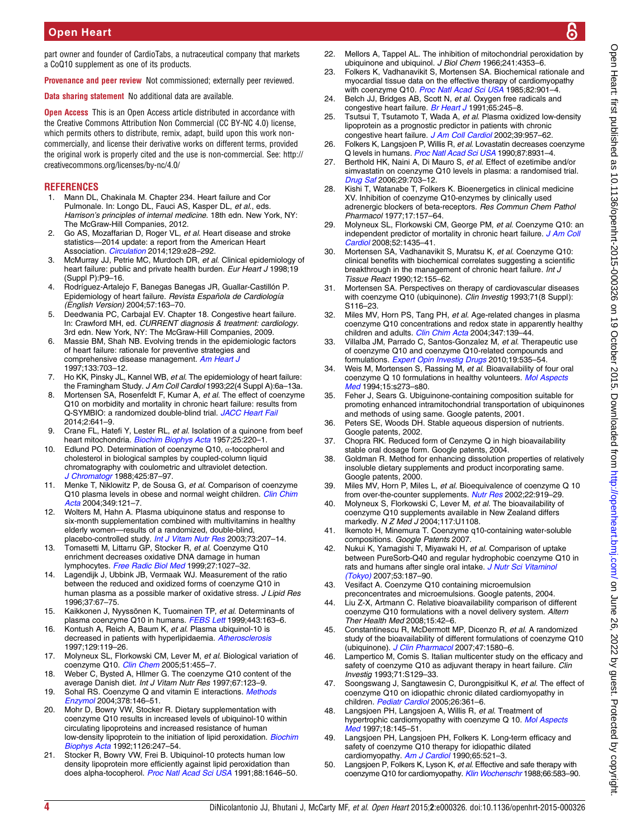<span id="page-3-0"></span>part owner and founder of CardioTabs, a nutraceutical company that markets a CoQ10 supplement as one of its products.

Provenance and peer review Not commissioned; externally peer reviewed.

Data sharing statement No additional data are available.

**Open Access** This is an Open Access article distributed in accordance with the Creative Commons Attribution Non Commercial (CC BY-NC 4.0) license, which permits others to distribute, remix, adapt, build upon this work noncommercially, and license their derivative works on different terms, provided the original work is properly cited and the use is non-commercial. See: [http://](http://creativecommons.org/licenses/by-nc/4.0/) [creativecommons.org/licenses/by-nc/4.0/](http://creativecommons.org/licenses/by-nc/4.0/)

# **REFERENCES**

- 1. Mann DL, Chakinala M. Chapter 234. Heart failure and Cor Pulmonale. In: Longo DL, Fauci AS, Kasper DL, et al., eds. Harrison's principles of internal medicine. 18th edn. New York, NY: The McGraw-Hill Companies, 2012.
- 2. Go AS, Mozaffarian D, Roger VL, et al. Heart disease and stroke statistics—2014 update: a report from the American Heart Association. [Circulation](http://dx.doi.org/10.1161/01.cir.0000441139.02102.80) 2014;129:e28-292.
- 3. McMurray JJ, Petrie MC, Murdoch DR, et al. Clinical epidemiology of heart failure: public and private health burden. Eur Heart J 1998;19 (Suppl P):P9–16.
- 4. Rodríguez-Artalejo F, Banegas Banegas JR, Guallar-Castillón P. Epidemiology of heart failure. Revista Española de Cardiología (English Version) 2004;57:163–70.
- 5. Deedwania PC, Carbajal EV. Chapter 18. Congestive heart failure. In: Crawford MH, ed. CURRENT diagnosis & treatment: cardiology. 3rd edn. New York, NY: The McGraw-Hill Companies, 2009.
- 6. Massie BM, Shah NB. Evolving trends in the epidemiologic factors of heart failure: rationale for preventive strategies and comprehensive disease management. [Am Heart J](http://dx.doi.org/10.1016/S0002-8703(97)70173-X) 1997;133:703–12.
- 7. Ho KK, Pinsky JL, Kannel WB, et al. The epidemiology of heart failure: the Framingham Study. J Am Coll Cardiol 1993;22(4 Suppl A):6a-13a.
- 8. Mortensen SA, Rosenfeldt F, Kumar A, et al. The effect of coenzyme Q10 on morbidity and mortality in chronic heart failure: results from Q-SYMBIO: a randomized double-blind trial. [JACC Heart Fail](http://dx.doi.org/10.1016/j.jchf.2014.06.008) 2014;2:641–9.
- Crane FL, Hatefi Y, Lester RL, et al. Isolation of a quinone from beef heart mitochondria. [Biochim Biophys Acta](http://dx.doi.org/10.1016/0006-3002(57)90457-2) 1957;25:220-1.
- 10. Edlund PO. Determination of coenzyme Q10, α-tocopherol and cholesterol in biological samples by coupled-column liquid chromatography with coulometric and ultraviolet detection. [J Chromatogr](http://dx.doi.org/10.1016/0378-4347(88)80009-4) 1988;425:87–97.
- 11. Menke T, Niklowitz P, de Sousa G, et al. Comparison of coenzyme Q10 plasma levels in obese and normal weight children. [Clin Chim](http://dx.doi.org/10.1016/j.cccn.2004.06.015) <mark>4*cta* 2004;349:121–7</mark>.
- 12. Wolters M, Hahn A. Plasma ubiquinone status and response to six-month supplementation combined with multivitamins in healthy elderly women—results of a randomized, double-blind, placebo-controlled study. [Int J Vitam Nutr Res](http://dx.doi.org/10.1024/0300-9831.73.3.207) 2003;73:207-14.
- 13. Tomasetti M, Littarru GP, Stocker R, et al. Coenzyme Q10 enrichment decreases oxidative DNA damage in human lymphocytes. [Free Radic Biol Med](http://dx.doi.org/10.1016/S0891-5849(99)00132-X) 1999;27:1027–32.
- 14. Lagendijk J, Ubbink JB, Vermaak WJ. Measurement of the ratio between the reduced and oxidized forms of coenzyme Q10 in human plasma as a possible marker of oxidative stress. J Lipid Res 1996;37:67–75.
- 15. Kaikkonen J, Nyyssönen K, Tuomainen TP, et al. Determinants of plasma coenzyme Q10 in humans. [FEBS Lett](http://dx.doi.org/10.1016/S0014-5793(98)01712-8) 1999;443:163-6.
- 16. Kontush A, Reich A, Baum K, et al. Plasma ubiquinol-10 is decreased in patients with hyperlipidaemia. [Atherosclerosis](http://dx.doi.org/10.1016/S0021-9150(96)06021-2) 1997;129:119–26.
- 17. Molyneux SL, Florkowski CM, Lever M, et al. Biological variation of coenzyme Q10. [Clin Chem](http://dx.doi.org/10.1373/clinchem.2004.043653) 2005;51:455-7.
- 18. Weber C, Bysted A, Hllmer G. The coenzyme Q10 content of the average Danish diet. Int J Vitam Nutr Res 1997;67:123–9.
- 19. Sohal RS. Coenzyme Q and vitamin E interactions. [Methods](http://dx.doi.org/10.1016/S0076-6879(04)78010-6) [Enzymol](http://dx.doi.org/10.1016/S0076-6879(04)78010-6) 2004;378:146–51.
- 20. Mohr D, Bowry VW, Stocker R. Dietary supplementation with coenzyme Q10 results in increased levels of ubiquinol-10 within circulating lipoproteins and increased resistance of human low-density lipoprotein to the initiation of lipid peroxidation. [Biochim](http://dx.doi.org/10.1016/0005-2760(92)90237-P) [Biophys Acta](http://dx.doi.org/10.1016/0005-2760(92)90237-P) 1992;1126:247–54.
- 21. Stocker R, Bowry VW, Frei B. Ubiquinol-10 protects human low density lipoprotein more efficiently against lipid peroxidation than does alpha-tocopherol. [Proc Natl Acad Sci USA](http://dx.doi.org/10.1073/pnas.88.5.1646) 1991;88:1646–50.
- 22. Mellors A, Tappel AL. The inhibition of mitochondrial peroxidation by ubiquinone and ubiquinol. J Biol Chem 1966;241:4353-6.
- 23. Folkers K, Vadhanavikit S, Mortensen SA. Biochemical rationale and myocardial tissue data on the effective therapy of cardiomyopathy with coenzyme Q10. [Proc Natl Acad Sci USA](http://dx.doi.org/10.1073/pnas.82.3.901) 1985;82:901-4.
- 24. Belch JJ, Bridges AB, Scott N, et al. Oxygen free radicals and congestive heart failure. [Br Heart J](http://dx.doi.org/10.1136/hrt.65.5.245) 1991;65:245-8.
- 25. Tsutsui T, Tsutamoto T, Wada A, et al. Plasma oxidized low-density lipoprotein as a prognostic predictor in patients with chronic congestive heart failure. [J Am Coll Cardiol](http://dx.doi.org/10.1016/S0735-1097(02)01721-7) 2002;39:957–62.
- 26. Folkers K, Langsjoen P, Willis R, et al. Lovastatin decreases coenzyme Q levels in humans. [Proc Natl Acad Sci USA](http://dx.doi.org/10.1073/pnas.87.22.8931) 1990;87:8931–4.
- 27. Berthold HK, Naini A, Di Mauro S, et al. Effect of ezetimibe and/or simvastatin on coenzyme Q10 levels in plasma: a randomised trial. [Drug Saf](http://dx.doi.org/10.2165/00002018-200629080-00007) 2006;29:703-12.
- 28. Kishi T, Watanabe T, Folkers K. Bioenergetics in clinical medicine XV. Inhibition of coenzyme Q10-enzymes by clinically used adrenergic blockers of beta-receptors. Res Commun Chem Pathol Pharmacol 1977;17:157–64.
- 29. Molyneux SL, Florkowski CM, George PM, et al. Coenzyme Q10: an independent predictor of mortality in chronic heart failure. [J Am Coll](http://dx.doi.org/10.1016/j.jacc.2008.07.044) [Cardiol](http://dx.doi.org/10.1016/j.jacc.2008.07.044) 2008;52:1435–41.
- 30. Mortensen SA, Vadhanavikit S, Muratsu K, et al. Coenzyme Q10: clinical benefits with biochemical correlates suggesting a scientific breakthrough in the management of chronic heart failure. Int J Tissue React 1990;12:155–62.
- 31. Mortensen SA. Perspectives on therapy of cardiovascular diseases with coenzyme Q10 (ubiquinone). Clin Investig 1993;71(8 Suppl): S116–23.
- 32. Miles MV, Horn PS, Tang PH, et al. Age-related changes in plasma coenzyme Q10 concentrations and redox state in apparently healthy children and adults. [Clin Chim Acta](http://dx.doi.org/10.1016/j.cccn.2004.04.003) 2004;347:139-44.
- 33. Villalba JM, Parrado C, Santos-Gonzalez M, et al. Therapeutic use of coenzyme Q10 and coenzyme Q10-related compounds and formulations. [Expert Opin Investig Drugs](http://dx.doi.org/10.1517/13543781003727495) 2010;19:535-54.
- 34. Weis M, Mortensen S, Rassing M, et al. Bioavailability of four oral coenzyme Q 10 formulations in healthy volunteers. [Mol Aspects](http://dx.doi.org/10.1016/0098-2997(94)90038-8) [Med](http://dx.doi.org/10.1016/0098-2997(94)90038-8) 1994;15:s273–s80.
- 35. Feher J, Sears G. Ubiguinone-containing composition suitable for promoting enhanced intramitochondrial transportation of ubiquinones and methods of using same. Google patents, 2001.
- 36. Peters SE, Woods DH. Stable aqueous dispersion of nutrients. Google patents, 2002.
- 37. Chopra RK. Reduced form of Cenzyme Q in high bioavailability stable oral dosage form. Google patents, 2004.
- 38. Goldman R. Method for enhancing dissolution properties of relatively insoluble dietary supplements and product incorporating same. Google patents, 2000.
- 39. Miles MV, Horn P, Miles L, et al. Bioequivalence of coenzyme Q 10 from over-the-counter supplements. [Nutr Res](http://dx.doi.org/10.1016/S0271-5317(02)00402-5) 2002;22:919–29.
- 40. Molyneux S, Florkowski C, Lever M, et al. The bioavailability of coenzyme Q10 supplements available in New Zealand differs markedly. N Z Med J 2004;117:U1108.
- 41. Ikemoto H, Minemura T. Coenzyme q10-containing water-soluble compositions. Google Patents 2007.
- 42. Nukui K, Yamagishi T, Miyawaki H, et al. Comparison of uptake between PureSorb-Q40 and regular hydrophobic coenzyme Q10 in rats and humans after single oral intake. [J Nutr Sci Vitaminol](http://dx.doi.org/10.3177/jnsv.53.187) [\(Tokyo\)](http://dx.doi.org/10.3177/jnsv.53.187) 2007;53:187–90.
- 43. Vesifact A. Coenzyme Q10 containing microemulsion preconcentrates and microemulsions. Google patents, 2004.
- 44. Liu Z-X, Artmann C. Relative bioavailability comparison of different coenzyme Q10 formulations with a novel delivery system. Altern Ther Health Med 2008;15:42–6.
- 45. Constantinescu R, McDermott MP, Dicenzo R, et al. A randomized study of the bioavailability of different formulations of coenzyme Q10 (ubiquinone). [J Clin Pharmacol](http://dx.doi.org/10.1177/0091270007307571) 2007;47:1580–6.
- 46. Lampertico M, Comis S. Italian multicenter study on the efficacy and safety of coenzyme Q10 as adjuvant therapy in heart failure. Clin Investig 1993;71:S129–33.
- 47. Soongswang J, Sangtawesin C, Durongpisitkul K, et al. The effect of coenzyme Q10 on idiopathic chronic dilated cardiomyopathy in children. [Pediatr Cardiol](http://dx.doi.org/10.1007/s00246-004-0742-1) 2005;26:361-6.
- 48. Langsjoen PH, Langsjoen A, Willis R, et al. Treatment of hypertrophic cardiomyopathy with coenzyme Q 10. [Mol Aspects](http://dx.doi.org/10.1016/S0098-2997(97)00006-X) [Med](http://dx.doi.org/10.1016/S0098-2997(97)00006-X) 1997;18:145–51.
- 49. Langsjoen PH, Langsjoen PH, Folkers K. Long-term efficacy and safety of coenzyme Q10 therapy for idiopathic dilated cardiomyopathy. [Am J Cardiol](http://dx.doi.org/10.1016/0002-9149(90)90824-K) 1990;65:521-3.
- 50. Langsjoen P, Folkers K, Lyson K, et al. Effective and safe therapy with coenzyme Q10 for cardiomyopathy. [Klin Wochenschr](http://dx.doi.org/10.1007/BF01720833) 1988;66:583-90.